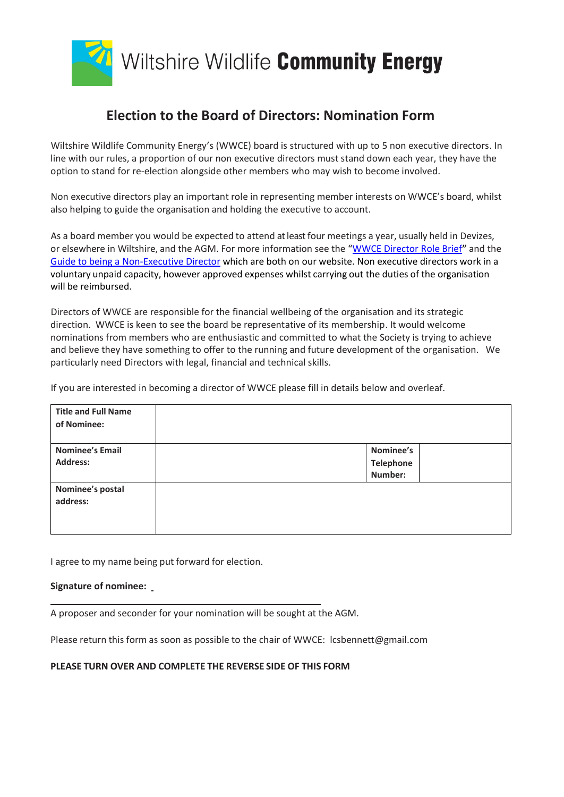

## **Election to the Board of Directors: Nomination Form**

Wiltshire Wildlife Community Energy's (WWCE) board is structured with up to 5 non executive directors. In line with our rules, a proportion of our non executive directors must stand down each year, they have the option to stand for re-election alongside other members who may wish to become involved.

Non executive directors play an important role in representing member interests on WWCE's board, whilst also helping to guide the organisation and holding the executive to account.

As a board member you would be expected to attend at least four meetings a year, usually held in Devizes, or elsewhere in Wiltshire, and the AGM. For more information see the "WWCE [Director Role Brief](http://wwce.org/wp-content/uploads/2017/08/WWCE-Directors-responsibilities.pdf)**"** and the Guide to being a [Non-Executive Director](http://wwce.org/wp-content/uploads/2017/08/WWCE-Guide-to-being-an-essential-company-director.pdf) which are both on our website. Non executive directors work in a voluntary unpaid capacity, however approved expenses whilst carrying out the duties of the organisation will be reimbursed.

Directors of WWCE are responsible for the financial wellbeing of the organisation and its strategic direction. WWCE is keen to see the board be representative of its membership. It would welcome nominations from members who are enthusiastic and committed to what the Society is trying to achieve and believe they have something to offer to the running and future development of the organisation. We particularly need Directors with legal, financial and technical skills.

If you are interested in becoming a director of WWCE please fill in details below and overleaf.

| <b>Title and Full Name</b><br>of Nominee: |                                   |
|-------------------------------------------|-----------------------------------|
| <b>Nominee's Email</b><br><b>Address:</b> | Nominee's<br>Telephone<br>Number: |
| Nominee's postal<br>address:              |                                   |

I agree to my name being put forward for election.

## **Signature of nominee:**

A proposer and seconder for your nomination will be sought at the AGM.

Please return this form as soon as possible to the chair of WWCE: lcsbennett@gmail.com

## **PLEASE TURN OVER AND COMPLETE THE REVERSE SIDE OF THIS FORM**